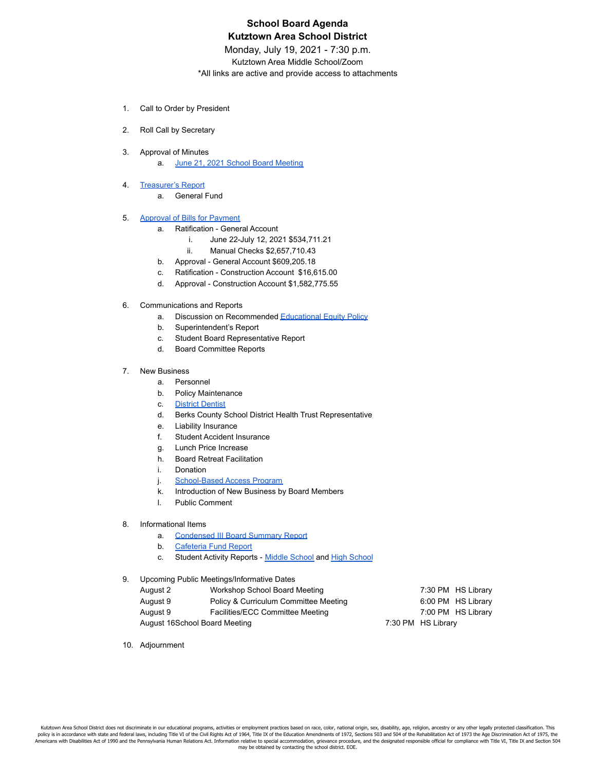## **School Board Agenda Kutztown Area School District**

Monday, July 19, 2021 - 7:30 p.m.

Kutztown Area Middle School/Zoom

\*All links are active and provide access to attachments

- 1. Call to Order by President
- 2. Roll Call by Secretary
- 3. Approval of Minutes
	- a. June 21, 2021 School Board [Meeting](https://drive.google.com/file/d/1IgqvIKM5jt9mM0gSZu-wxaE_Akd6ig1C/view?usp=sharing)
- 4. [Treasurer's](https://drive.google.com/file/d/1QtW5ip0-nAC_j8kdCNCAbejDCA98exUA/view?usp=sharing) Report
	- a. General Fund
- 5. [Approval](https://drive.google.com/file/d/1QtW5ip0-nAC_j8kdCNCAbejDCA98exUA/view?usp=sharing) of Bills for Payment
	- a. Ratification General Account
		- i. June 22-July 12, 2021 \$534,711.21
		- ii. Manual Checks \$2,657,710.43
		- b. Approval General Account \$609,205.18
		- c. Ratification Construction Account \$16,615.00
		- d. Approval Construction Account \$1,582,775.55
- 6. Communications and Reports
	- a. Discussion on Recommended [Educational](https://drive.google.com/file/d/14iy80wCTMjxpiDF3IL2iqlnuD4RBJxhP/view?usp=sharing) Equity Policy
	- b. Superintendent's Report
	- c. Student Board Representative Report
	- d. Board Committee Reports
- 7. New Business
	- a. Personnel
	- b. Policy Maintenance
	- c. District [Dentist](https://drive.google.com/file/d/18DVJumMn0xtpcbX9VzDr3htyYO9NBZ-s/view?usp=sharing)
	- d. Berks County School District Health Trust Representative
	- e. Liability Insurance
	- f. Student Accident Insurance
	- g. Lunch Price Increase
	- h. Board Retreat Facilitation
	- i. Donation
	- j. [School-Based](https://drive.google.com/file/d/1WHJPgAh0kmlmGakS91CK6rNXXzuVOhaI/view?usp=sharing) Access Program
	- k. Introduction of New Business by Board Members
	- l. Public Comment
- 8. Informational Items
	- a. [Condensed](https://drive.google.com/file/d/158Ii7kVdE35YHmltEghBAwjRVCI1MKnN/view?usp=sharing) III Board Summary Report
	- b. [Cafeteria](https://drive.google.com/file/d/1D6l1VxVoiLkDg2v_DuNtktMY5uAx031o/view?usp=sharing) Fund Report
	- c. Student Activity Reports Middle [School](https://drive.google.com/file/d/1mm7pKHYQP6weGKK4Dgyk9MvNunfslDTQ/view?usp=sharing) and High [School](https://drive.google.com/file/d/1GxyBL6K6NCRMD4LZjgJ77eXfjySdRbn0/view?usp=sharing)
- 9. Upcoming Public Meetings/Informative Dates

| August 2                      | Workshop School Board Meeting         |                    | 7:30 PM HS Library |
|-------------------------------|---------------------------------------|--------------------|--------------------|
| August 9                      | Policy & Curriculum Committee Meeting |                    | 6:00 PM HS Library |
| August 9                      | Facilities/ECC Committee Meeting      |                    | 7:00 PM HS Library |
| August 16School Board Meeting |                                       | 7:30 PM HS Library |                    |

10. Adjournment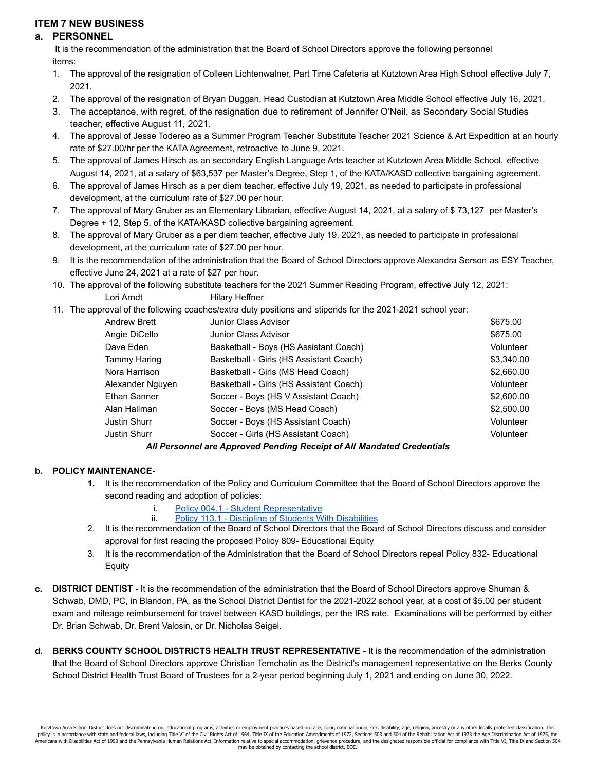## **ITEM 7 NEW BUSINESS**

## **a. PERSONNEL**

It is the recommendation of the administration that the Board of School Directors approve the following personnel items:

- 1. The approval of the resignation of Colleen Lichtenwalner, Part Time Cafeteria at Kutztown Area High School effective July 7, 2021.
- 2. The approval of the resignation of Bryan Duggan, Head Custodian at Kutztown Area Middle School effective July 16, 2021.
- 3. The acceptance, with regret, of the resignation due to retirement of Jennifer O'Neil, as Secondary Social Studies teacher, effective August 11, 2021.
- 4. The approval of Jesse Todereo as a Summer Program Teacher Substitute Teacher 2021 Science & Art Expedition at an hourly rate of \$27.00/hr per the KATA Agreement, retroactive to June 9, 2021.
- 5. The approval of James Hirsch as an secondary English Language Arts teacher at Kutztown Area Middle School, effective August 14, 2021, at a salary of \$63,537 per Master's Degree, Step 1, of the KATA/KASD collective bargaining agreement.
- 6. The approval of James Hirsch as a per diem teacher, effective July 19, 2021, as needed to participate in professional development, at the curriculum rate of \$27.00 per hour.
- 7. The approval of Mary Gruber as an Elementary Librarian, effective August 14, 2021, at a salary of \$ 73,127 per Master's Degree + 12, Step 5, of the KATA/KASD collective bargaining agreement.
- 8. The approval of Mary Gruber as a per diem teacher, effective July 19, 2021, as needed to participate in professional development, at the curriculum rate of \$27.00 per hour.
- 9. It is the recommendation of the administration that the Board of School Directors approve Alexandra Serson as ESY Teacher, effective June 24, 2021 at a rate of \$27 per hour.
- 10. The approval of the following substitute teachers for the 2021 Summer Reading Program, effective July 12, 2021: Lori Arndt Hilary Heffner
- 11. The approval of the following coaches/extra duty positions and stipends for the 2021-2021 school year:

| Andrew Brett     | Junior Class Advisor                                                    | \$675.00   |
|------------------|-------------------------------------------------------------------------|------------|
| Angie DiCello    | Junior Class Advisor                                                    | \$675.00   |
| Dave Eden        | Basketball - Boys (HS Assistant Coach)                                  | Volunteer  |
| Tammy Haring     | Basketball - Girls (HS Assistant Coach)                                 | \$3,340.00 |
| Nora Harrison    | Basketball - Girls (MS Head Coach)                                      | \$2,660.00 |
| Alexander Nguyen | Basketball - Girls (HS Assistant Coach)                                 | Volunteer  |
| Ethan Sanner     | Soccer - Boys (HS V Assistant Coach)                                    | \$2,600.00 |
| Alan Hallman     | Soccer - Boys (MS Head Coach)                                           | \$2,500.00 |
| Justin Shurr     | Soccer - Boys (HS Assistant Coach)                                      | Volunteer  |
| Justin Shurr     | Soccer - Girls (HS Assistant Coach)                                     | Volunteer  |
|                  | All Devenuel ave Annuarred Develing Densint of All Mendeted Ovedentiale |            |

*All Personnel are Approved Pending Receipt of All Mandated Credentials*

## **b. POLICY MAINTENANCE-**

- **1.** It is the recommendation of the Policy and Curriculum Committee that the Board of School Directors approve the second reading and adoption of policies:
	- i. [Policy 004.1 Student Representative](https://drive.google.com/file/d/17C6MMbxaT_3vrdhuF3E1aah4CtByJLKD/view?usp=sharing)
	- ii. Policy [113.1 Discipline of Students With Disabilities](https://drive.google.com/file/d/18v4oOBtZQ7Kj4tRtnJIuudsf8ifBusLF/view?usp=sharing)
- 2. It is the recommendation of the Board of School Directors that the Board of School Directors discuss and consider approval for first reading the proposed Policy 809- Educational Equity
- 3. It is the recommendation of the Administration that the Board of School Directors repeal Policy 832- Educational Equity
- **c. DISTRICT DENTIST -** It is the recommendation of the administration that the Board of School Directors approve Shuman & Schwab, DMD, PC, in Blandon, PA, as the School District Dentist for the 2021-2022 school year, at a cost of \$5.00 per student exam and mileage reimbursement for travel between KASD buildings, per the IRS rate. Examinations will be performed by either Dr. Brian Schwab, Dr. Brent Valosin, or Dr. Nicholas Seigel.
- **d. BERKS COUNTY SCHOOL DISTRICTS HEALTH TRUST REPRESENTATIVE -** It is the recommendation of the administration that the Board of School Directors approve Christian Temchatin as the District's management representative on the Berks County School District Health Trust Board of Trustees for a 2-year period beginning July 1, 2021 and ending on June 30, 2022.